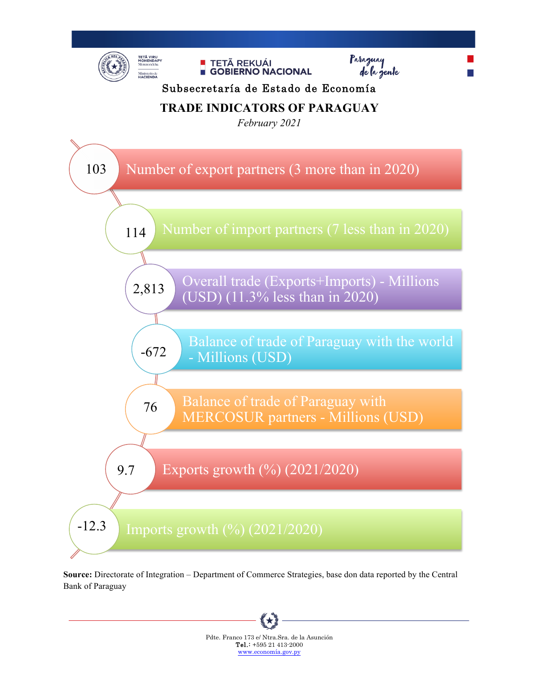

**Source:** Directorate of Integration – Department of Commerce Strategies, base don data reported by the Central Bank of Paraguay

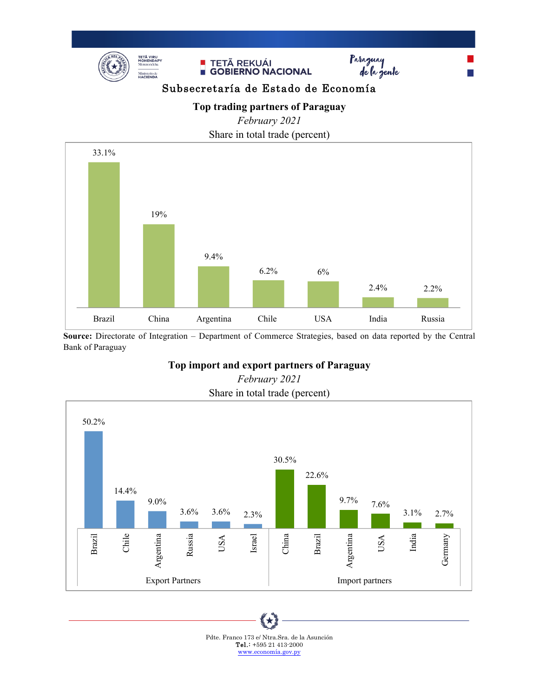



**Source:** Directorate of Integration – Department of Commerce Strategies, based on data reported by the Central Bank of Paraguay

#### **Top import and export partners of Paraguay**



# *February 2021*

Pdte. Franco 173 e/ Ntra.Sra. de la Asunción Tel.: +595 21 413-2000 www.economía.gov.py

∖★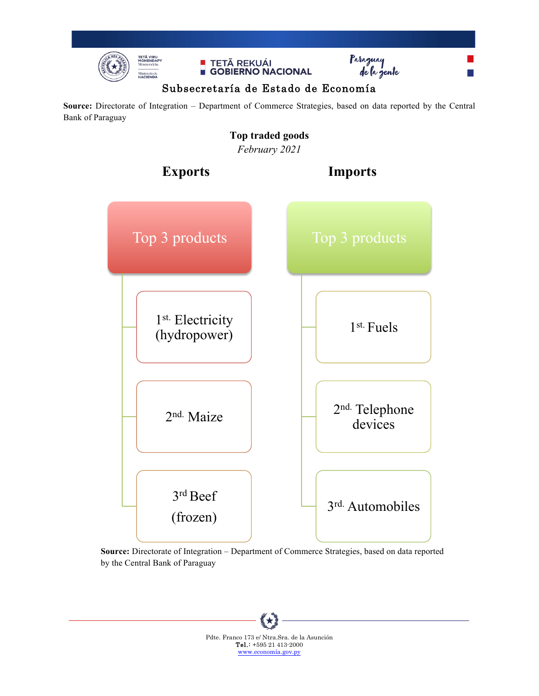

**Contract Contract** 





#### Subsecretaría de Estado de Economía

**Source:** Directorate of Integration – Department of Commerce Strategies, based on data reported by the Central Bank of Paraguay

#### **Top traded goods** *February 2021*



**Source:** Directorate of Integration – Department of Commerce Strategies, based on data reported by the Central Bank of Paraguay

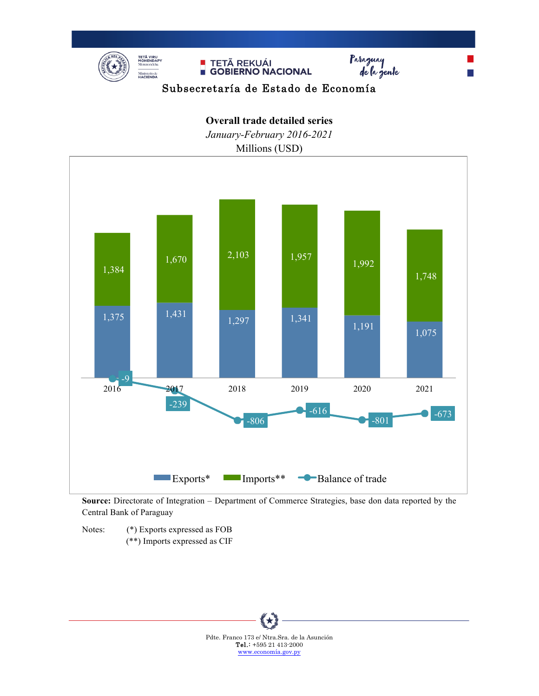

## Subsecretaría de Estado de Economía

### **Overall trade detailed series**

*January-February 2016-2021*





**Source:** Directorate of Integration – Department of Commerce Strategies, base don data reported by the Central Bank of Paraguay

Notes: (\*) Exports expressed as FOB (\*\*) Imports expressed as CIF

> ∖★ Pdte. Franco 173 e/ Ntra.Sra. de la Asunción Tel.: +595 21 413-2000 www.economía.gov.py